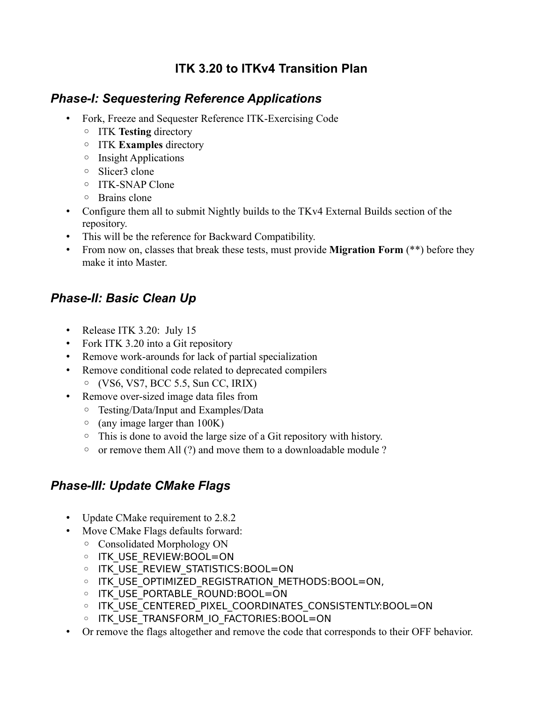### **ITK 3.20 to ITKv4 Transition Plan**

#### *Phase-I: Sequestering Reference Applications*

- Fork, Freeze and Sequester Reference ITK-Exercising Code
	- ITK **Testing** directory
	- ITK **Examples** directory
	- Insight Applications
	- Slicer3 clone
	- ITK-SNAP Clone
	- Brains clone
- Configure them all to submit Nightly builds to the TKv4 External Builds section of the repository.
- This will be the reference for Backward Compatibility.
- From now on, classes that break these tests, must provide **Migration Form** (\*\*) before they make it into Master.

# *Phase-II: Basic Clean Up*

- Release ITK 3.20: July 15
- Fork ITK 3.20 into a Git repository
- Remove work-arounds for lack of partial specialization
- Remove conditional code related to deprecated compilers
	- $\circ$  (VS6, VS7, BCC 5.5, Sun CC, IRIX)
- Remove over-sized image data files from
	- Testing/Data/Input and Examples/Data
	- (any image larger than 100K)
	- This is done to avoid the large size of a Git repository with history.
	- or remove them All (?) and move them to a downloadable module ?

# *Phase-III: Update CMake Flags*

- Update CMake requirement to 2.8.2
- Move CMake Flags defaults forward:
	- Consolidated Morphology ON
	- ITK\_USE\_REVIEW:BOOL=ON
	- ITK\_USE\_REVIEW\_STATISTICS:BOOL=ON
	- ITK\_USE\_OPTIMIZED\_REGISTRATION\_METHODS:BOOL=ON,
	- ITK\_USE\_PORTABLE\_ROUND:BOOL=ON
	- ITK USE CENTERED PIXEL COORDINATES CONSISTENTLY:BOOL=ON
	- ITK\_USE\_TRANSFORM\_IO\_FACTORIES:BOOL=ON
- Or remove the flags altogether and remove the code that corresponds to their OFF behavior.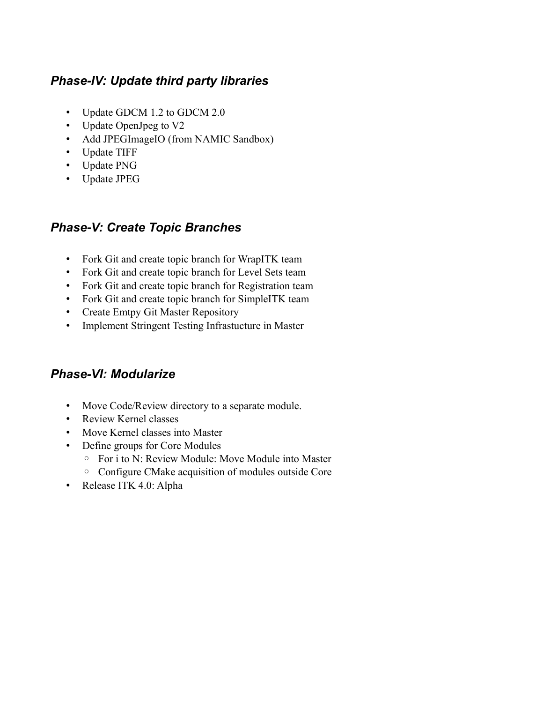### *Phase-IV: Update third party libraries*

- Update GDCM 1.2 to GDCM 2.0
- Update OpenJpeg to V2
- Add JPEGImageIO (from NAMIC Sandbox)
- Update TIFF
- Update PNG
- Update JPEG

#### *Phase-V: Create Topic Branches*

- Fork Git and create topic branch for WrapITK team
- Fork Git and create topic branch for Level Sets team
- Fork Git and create topic branch for Registration team
- Fork Git and create topic branch for SimpleITK team
- Create Emtpy Git Master Repository
- Implement Stringent Testing Infrastucture in Master

#### *Phase-VI: Modularize*

- Move Code/Review directory to a separate module.
- Review Kernel classes
- Move Kernel classes into Master
- Define groups for Core Modules
	- For i to N: Review Module: Move Module into Master
	- Configure CMake acquisition of modules outside Core
- Release ITK 4.0: Alpha